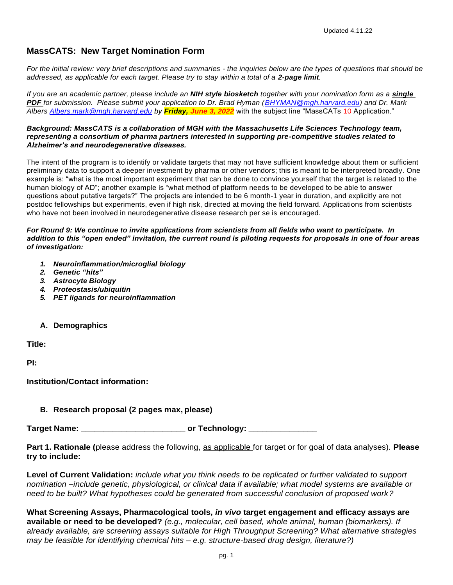# **MassCATS: New Target Nomination Form**

*For the initial review: very brief descriptions and summaries - the inquiries below are the types of questions that should be addressed, as applicable for each target. Please try to stay within a total of a 2-page limit.*

*If you are an academic partner, please include an NIH style biosketch together with your nomination form as a single PDF for submission. Please submit your application to Dr. Brad Hyman [\(BHYMAN@mgh.harvard.edu\)](mailto:BHYMAN@mgh.harvard.edu) and Dr. Mark Albers [Albers.mark@mgh.harvard.edu](mailto:Albers.mark@mgh.harvard.edu) by Friday, June 3, 2022* with the subject line "MassCATs 10 Application."

#### *Background: MassCATS is a collaboration of MGH with the Massachusetts Life Sciences Technology team, representing a consortium of pharma partners interested in supporting pre-competitive studies related to Alzheimer's and neurodegenerative diseases.*

The intent of the program is to identify or validate targets that may not have sufficient knowledge about them or sufficient preliminary data to support a deeper investment by pharma or other vendors; this is meant to be interpreted broadly. One example is: "what is the most important experiment that can be done to convince yourself that the target is related to the human biology of AD"; another example is "what method of platform needs to be developed to be able to answer questions about putative targets?" The projects are intended to be 6 month-1 year in duration, and explicitly are not postdoc fellowships but experiments, even if high risk, directed at moving the field forward. Applications from scientists who have not been involved in neurodegenerative disease research per se is encouraged.

#### *For Round 9: We continue to invite applications from scientists from all fields who want to participate. In addition to this "open ended" invitation, the current round is piloting requests for proposals in one of four areas of investigation:*

- *1. Neuroinflammation/microglial biology*
- *2. Genetic "hits"*
- *3. Astrocyte Biology*
- *4. Proteostasis/ubiquitin*
- *5. PET ligands for neuroinflammation*
- **A. Demographics**

**Title:**

**PI:**

**Institution/Contact information:**

## **B. Research proposal (2 pages max, please)**

**Target Name: Contract Contract Contract Contract Contract Contract Contract Contract Contract Contract Contract Contract Contract Contract Contract Contract Contract Contract Contract Contract Contract Contract Contract** 

**Part 1. Rationale (**please address the following, as applicable for target or for goal of data analyses). **Please try to include:**

**Level of Current Validation:** *include what you think needs to be replicated or further validated to support nomination –include genetic, physiological, or clinical data if available; what model systems are available or need to be built? What hypotheses could be generated from successful conclusion of proposed work?*

**What Screening Assays, Pharmacological tools,** *in vivo* **target engagement and efficacy assays are available or need to be developed?** *(e.g., molecular, cell based, whole animal, human (biomarkers). If already available, are screening assays suitable for High Throughput Screening? What alternative strategies may be feasible for identifying chemical hits – e.g. structure-based drug design, literature?)*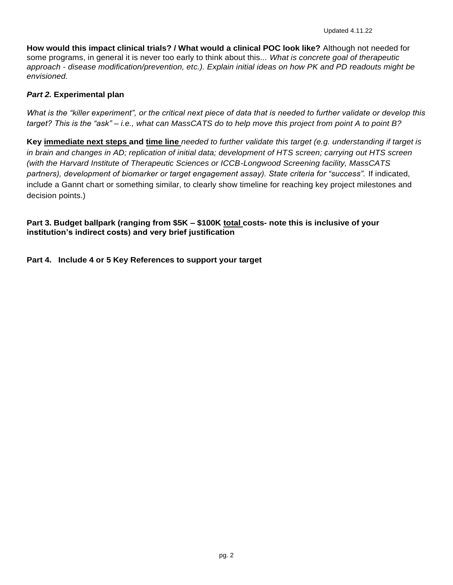**How would this impact clinical trials? / What would a clinical POC look like?** Although not needed for some programs, in general it is never too early to think about this... *What is concrete goal of therapeutic approach - disease modification/prevention, etc.). Explain initial ideas on how PK and PD readouts might be envisioned.*

## *Part 2.* **Experimental plan**

*What is the "killer experiment", or the critical next piece of data that is needed to further validate or develop this target? This is the "ask" – i.e., what can MassCATS do to help move this project from point A to point B?*

**Key immediate next steps and time line** *needed to further validate this target (e.g. understanding if target is in brain and changes in AD; replication of initial data; development of HTS screen; carrying out HTS screen (with the Harvard Institute of Therapeutic Sciences or ICCB-Longwood Screening facility, MassCATS partners), development of biomarker or target engagement assay). State criteria for "success".* If indicated, include a Gannt chart or something similar, to clearly show timeline for reaching key project milestones and decision points.)

## **Part 3. Budget ballpark (ranging from \$5K – \$100K total costs- note this is inclusive of your institution's indirect costs) and very brief justification**

**Part 4. Include 4 or 5 Key References to support your target**